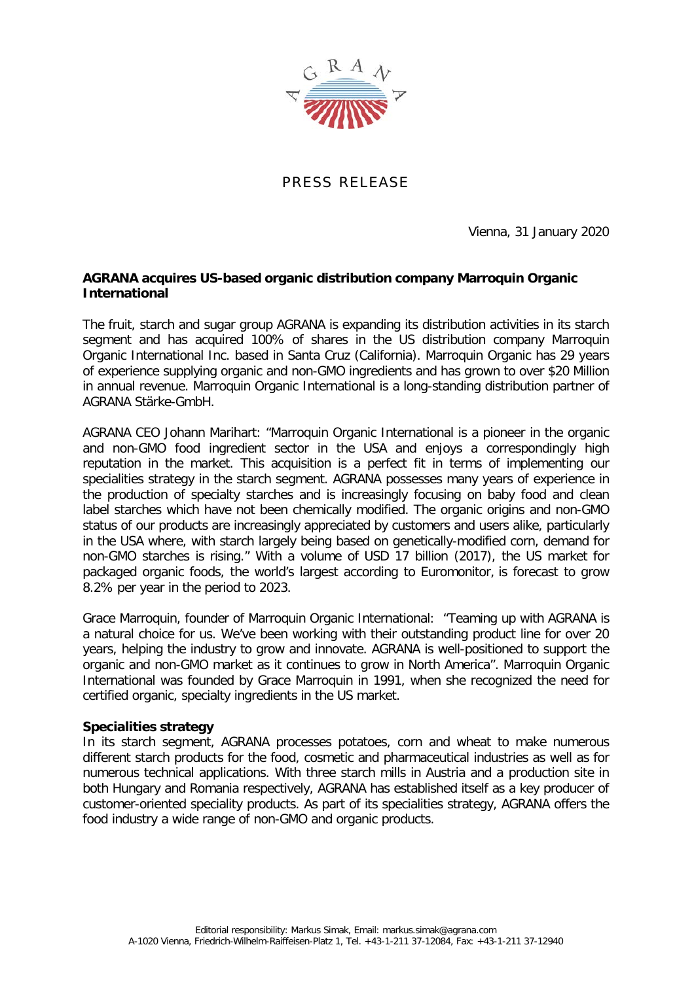

PRESS RELEASE

Vienna, 31 January 2020

## **AGRANA acquires US-based organic distribution company Marroquin Organic International**

The fruit, starch and sugar group AGRANA is expanding its distribution activities in its starch segment and has acquired 100% of shares in the US distribution company Marroquin Organic International Inc. based in Santa Cruz (California). Marroquin Organic has 29 years of experience supplying organic and non-GMO ingredients and has grown to over \$20 Million in annual revenue. Marroquin Organic International is a long-standing distribution partner of AGRANA Stärke-GmbH.

AGRANA CEO Johann Marihart: "Marroquin Organic International is a pioneer in the organic and non-GMO food ingredient sector in the USA and enjoys a correspondingly high reputation in the market. This acquisition is a perfect fit in terms of implementing our specialities strategy in the starch segment. AGRANA possesses many years of experience in the production of specialty starches and is increasingly focusing on baby food and clean label starches which have not been chemically modified. The organic origins and non-GMO status of our products are increasingly appreciated by customers and users alike, particularly in the USA where, with starch largely being based on genetically-modified corn, demand for non-GMO starches is rising." With a volume of USD 17 billion (2017), the US market for packaged organic foods, the world's largest according to Euromonitor, is forecast to grow 8.2% per year in the period to 2023.

Grace Marroquin, founder of Marroquin Organic International: "Teaming up with AGRANA is a natural choice for us. We've been working with their outstanding product line for over 20 years, helping the industry to grow and innovate. AGRANA is well-positioned to support the organic and non-GMO market as it continues to grow in North America". Marroquin Organic International was founded by Grace Marroquin in 1991, when she recognized the need for certified organic, specialty ingredients in the US market.

## **Specialities strategy**

In its starch segment, AGRANA processes potatoes, corn and wheat to make numerous different starch products for the food, cosmetic and pharmaceutical industries as well as for numerous technical applications. With three starch mills in Austria and a production site in both Hungary and Romania respectively, AGRANA has established itself as a key producer of customer-oriented speciality products. As part of its specialities strategy, AGRANA offers the food industry a wide range of non-GMO and organic products.